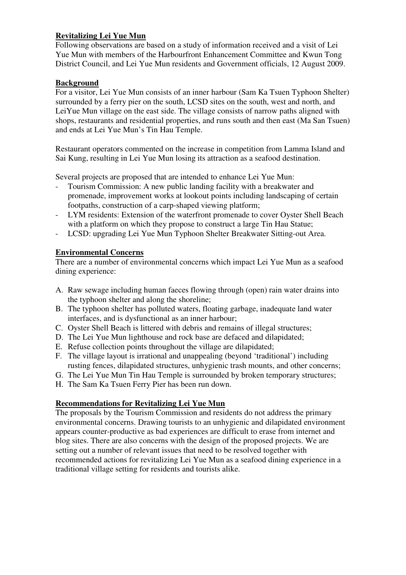#### **Revitalizing Lei Yue Mun**

Following observations are based on a study of information received and a visit of Lei Yue Mun with members of the Harbourfront Enhancement Committee and Kwun Tong District Council, and Lei Yue Mun residents and Government officials, 12 August 2009.

#### **Background**

For a visitor, Lei Yue Mun consists of an inner harbour (Sam Ka Tsuen Typhoon Shelter) surrounded by a ferry pier on the south, LCSD sites on the south, west and north, and LeiYue Mun village on the east side. The village consists of narrow paths aligned with shops, restaurants and residential properties, and runs south and then east (Ma San Tsuen) and ends at Lei Yue Mun's Tin Hau Temple.

Restaurant operators commented on the increase in competition from Lamma Island and Sai Kung, resulting in Lei Yue Mun losing its attraction as a seafood destination.

Several projects are proposed that are intended to enhance Lei Yue Mun:

- Tourism Commission: A new public landing facility with a breakwater and promenade, improvement works at lookout points including landscaping of certain footpaths, construction of a carp-shaped viewing platform;
- LYM residents: Extension of the waterfront promenade to cover Oyster Shell Beach with a platform on which they propose to construct a large Tin Hau Statue;
- LCSD: upgrading Lei Yue Mun Typhoon Shelter Breakwater Sitting-out Area.

#### **Environmental Concerns**

There are a number of environmental concerns which impact Lei Yue Mun as a seafood dining experience:

- A. Raw sewage including human faeces flowing through (open) rain water drains into the typhoon shelter and along the shoreline;
- B. The typhoon shelter has polluted waters, floating garbage, inadequate land water interfaces, and is dysfunctional as an inner harbour;
- C. Oyster Shell Beach is littered with debris and remains of illegal structures;
- D. The Lei Yue Mun lighthouse and rock base are defaced and dilapidated;
- E. Refuse collection points throughout the village are dilapidated;
- F. The village layout is irrational and unappealing (beyond 'traditional') including rusting fences, dilapidated structures, unhygienic trash mounts, and other concerns;
- G. The Lei Yue Mun Tin Hau Temple is surrounded by broken temporary structures;
- H. The Sam Ka Tsuen Ferry Pier has been run down.

#### **Recommendations for Revitalizing Lei Yue Mun**

The proposals by the Tourism Commission and residents do not address the primary environmental concerns. Drawing tourists to an unhygienic and dilapidated environment appears counter-productive as bad experiences are difficult to erase from internet and blog sites. There are also concerns with the design of the proposed projects. We are setting out a number of relevant issues that need to be resolved together with recommended actions for revitalizing Lei Yue Mun as a seafood dining experience in a traditional village setting for residents and tourists alike.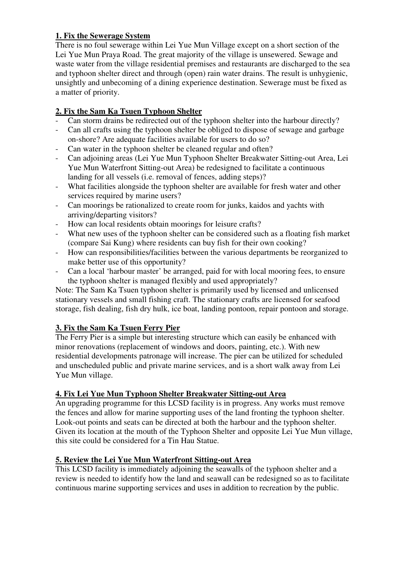### **1. Fix the Sewerage System**

There is no foul sewerage within Lei Yue Mun Village except on a short section of the Lei Yue Mun Praya Road. The great majority of the village is unsewered. Sewage and waste water from the village residential premises and restaurants are discharged to the sea and typhoon shelter direct and through (open) rain water drains. The result is unhygienic, unsightly and unbecoming of a dining experience destination. Sewerage must be fixed as a matter of priority.

# **2. Fix the Sam Ka Tsuen Typhoon Shelter**

- Can storm drains be redirected out of the typhoon shelter into the harbour directly?
- Can all crafts using the typhoon shelter be obliged to dispose of sewage and garbage on-shore? Are adequate facilities available for users to do so?
- Can water in the typhoon shelter be cleaned regular and often?
- Can adjoining areas (Lei Yue Mun Typhoon Shelter Breakwater Sitting-out Area, Lei Yue Mun Waterfront Sitting-out Area) be redesigned to facilitate a continuous landing for all vessels (i.e. removal of fences, adding steps)?
- What facilities alongside the typhoon shelter are available for fresh water and other services required by marine users?
- Can moorings be rationalized to create room for junks, kaidos and yachts with arriving/departing visitors?
- How can local residents obtain moorings for leisure crafts?
- What new uses of the typhoon shelter can be considered such as a floating fish market (compare Sai Kung) where residents can buy fish for their own cooking?
- How can responsibilities/facilities between the various departments be reorganized to make better use of this opportunity?
- Can a local 'harbour master' be arranged, paid for with local mooring fees, to ensure the typhoon shelter is managed flexibly and used appropriately?

Note: The Sam Ka Tsuen typhoon shelter is primarily used by licensed and unlicensed stationary vessels and small fishing craft. The stationary crafts are licensed for seafood storage, fish dealing, fish dry hulk, ice boat, landing pontoon, repair pontoon and storage.

# **3. Fix the Sam Ka Tsuen Ferry Pier**

The Ferry Pier is a simple but interesting structure which can easily be enhanced with minor renovations (replacement of windows and doors, painting, etc.). With new residential developments patronage will increase. The pier can be utilized for scheduled and unscheduled public and private marine services, and is a short walk away from Lei Yue Mun village.

# **4. Fix Lei Yue Mun Typhoon Shelter Breakwater Sitting-out Area**

An upgrading programme for this LCSD facility is in progress. Any works must remove the fences and allow for marine supporting uses of the land fronting the typhoon shelter. Look-out points and seats can be directed at both the harbour and the typhoon shelter. Given its location at the mouth of the Typhoon Shelter and opposite Lei Yue Mun village, this site could be considered for a Tin Hau Statue.

# **5. Review the Lei Yue Mun Waterfront Sitting-out Area**

This LCSD facility is immediately adjoining the seawalls of the typhoon shelter and a review is needed to identify how the land and seawall can be redesigned so as to facilitate continuous marine supporting services and uses in addition to recreation by the public.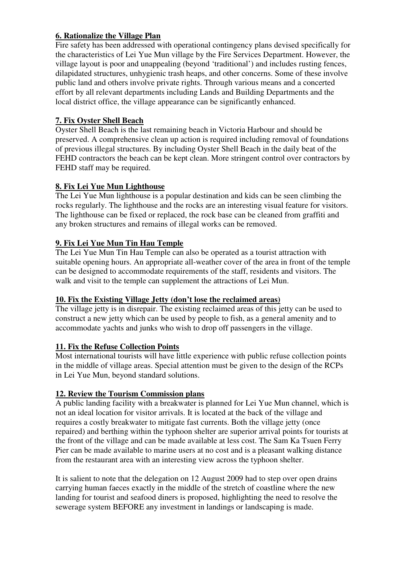#### **6. Rationalize the Village Plan**

Fire safety has been addressed with operational contingency plans devised specifically for the characteristics of Lei Yue Mun village by the Fire Services Department. However, the village layout is poor and unappealing (beyond 'traditional') and includes rusting fences, dilapidated structures, unhygienic trash heaps, and other concerns. Some of these involve public land and others involve private rights. Through various means and a concerted effort by all relevant departments including Lands and Building Departments and the local district office, the village appearance can be significantly enhanced.

# **7. Fix Oyster Shell Beach**

Oyster Shell Beach is the last remaining beach in Victoria Harbour and should be preserved. A comprehensive clean up action is required including removal of foundations of previous illegal structures. By including Oyster Shell Beach in the daily beat of the FEHD contractors the beach can be kept clean. More stringent control over contractors by FEHD staff may be required.

# **8. Fix Lei Yue Mun Lighthouse**

The Lei Yue Mun lighthouse is a popular destination and kids can be seen climbing the rocks regularly. The lighthouse and the rocks are an interesting visual feature for visitors. The lighthouse can be fixed or replaced, the rock base can be cleaned from graffiti and any broken structures and remains of illegal works can be removed.

### **9. Fix Lei Yue Mun Tin Hau Temple**

The Lei Yue Mun Tin Hau Temple can also be operated as a tourist attraction with suitable opening hours. An appropriate all-weather cover of the area in front of the temple can be designed to accommodate requirements of the staff, residents and visitors. The walk and visit to the temple can supplement the attractions of Lei Mun.

#### **10. Fix the Existing Village Jetty (don't lose the reclaimed areas)**

The village jetty is in disrepair. The existing reclaimed areas of this jetty can be used to construct a new jetty which can be used by people to fish, as a general amenity and to accommodate yachts and junks who wish to drop off passengers in the village.

# **11. Fix the Refuse Collection Points**

Most international tourists will have little experience with public refuse collection points in the middle of village areas. Special attention must be given to the design of the RCPs in Lei Yue Mun, beyond standard solutions.

# **12. Review the Tourism Commission plans**

A public landing facility with a breakwater is planned for Lei Yue Mun channel, which is not an ideal location for visitor arrivals. It is located at the back of the village and requires a costly breakwater to mitigate fast currents. Both the village jetty (once repaired) and berthing within the typhoon shelter are superior arrival points for tourists at the front of the village and can be made available at less cost. The Sam Ka Tsuen Ferry Pier can be made available to marine users at no cost and is a pleasant walking distance from the restaurant area with an interesting view across the typhoon shelter.

It is salient to note that the delegation on 12 August 2009 had to step over open drains carrying human faeces exactly in the middle of the stretch of coastline where the new landing for tourist and seafood diners is proposed, highlighting the need to resolve the sewerage system BEFORE any investment in landings or landscaping is made.